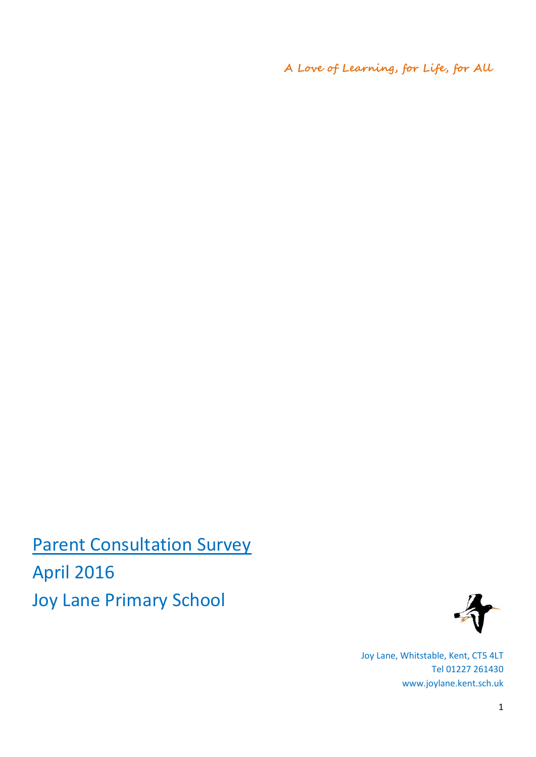**A Love of Learning, for Life, for All**

**Parent Consultation Survey** April 2016 Joy Lane Primary School



Joy Lane, Whitstable, Kent, CT5 4LT Tel 01227 261430 www.joylane.kent.sch.uk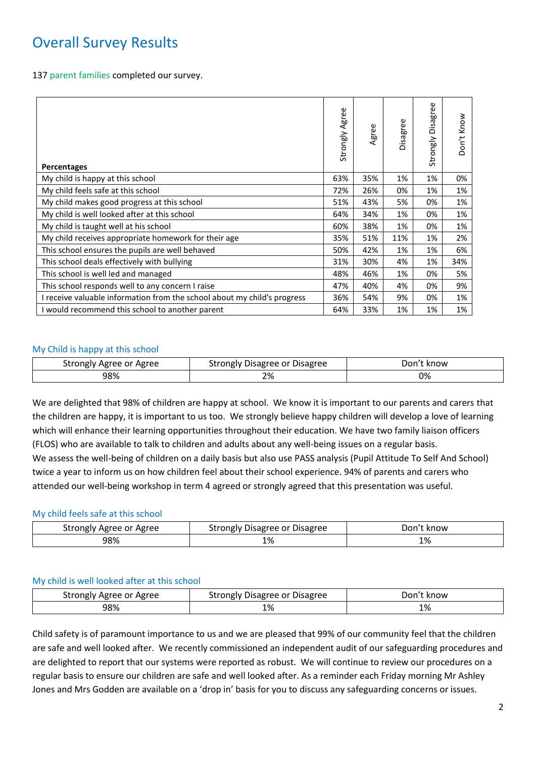# Overall Survey Results

137 parent families completed our survey.

| <b>Percentages</b>                                                       | Strongly Agree | Agree | Disagree | <b>Disagree</b><br>Strongly | Know<br>Don't |
|--------------------------------------------------------------------------|----------------|-------|----------|-----------------------------|---------------|
| My child is happy at this school                                         | 63%            | 35%   | 1%       | 1%                          | 0%            |
| My child feels safe at this school                                       | 72%            | 26%   | 0%       | 1%                          | 1%            |
| My child makes good progress at this school                              | 51%            | 43%   | 5%       | 0%                          | 1%            |
| My child is well looked after at this school                             | 64%            | 34%   | 1%       | 0%                          | 1%            |
| My child is taught well at his school                                    | 60%            | 38%   | 1%       | 0%                          | 1%            |
| My child receives appropriate homework for their age                     | 35%            | 51%   | 11%      | 1%                          | 2%            |
| This school ensures the pupils are well behaved                          | 50%            | 42%   | 1%       | 1%                          | 6%            |
| This school deals effectively with bullying                              | 31%            | 30%   | 4%       | 1%                          | 34%           |
| This school is well led and managed                                      | 48%            | 46%   | 1%       | 0%                          | 5%            |
| This school responds well to any concern I raise                         | 47%            | 40%   | 4%       | 0%                          | 9%            |
| I receive valuable information from the school about my child's progress | 36%            | 54%   | 9%       | 0%                          | 1%            |
| I would recommend this school to another parent                          | 64%            | 33%   | 1%       | 1%                          | 1%            |

## My Child is happy at this school

| Strongly Agree or Agree | Strongly Disagree or Disagree | ⊃on′†<br>: know |
|-------------------------|-------------------------------|-----------------|
| 98%                     | 2%                            | 0%              |

We are delighted that 98% of children are happy at school. We know it is important to our parents and carers that the children are happy, it is important to us too. We strongly believe happy children will develop a love of learning which will enhance their learning opportunities throughout their education. We have two family liaison officers (FLOS) who are available to talk to children and adults about any well-being issues on a regular basis. We assess the well-being of children on a daily basis but also use PASS analysis (Pupil Attitude To Self And School) twice a year to inform us on how children feel about their school experience. 94% of parents and carers who attended our well-being workshop in term 4 agreed or strongly agreed that this presentation was useful.

### My child feels safe at this school

| Agree or Agree<br>strongly | Strongly Disagree or Disagree            | . know<br>Don |
|----------------------------|------------------------------------------|---------------|
| 98%                        | 1%<br>$\sim$ $\sim$ $\sim$ $\sim$ $\sim$ | <b>170</b>    |

### My child is well looked after at this school

| strongly<br>' Agree or Agree | Strongly Disagree or Disagree | Jon't<br>know |
|------------------------------|-------------------------------|---------------|
| 98%                          | 1%                            | 1%            |

Child safety is of paramount importance to us and we are pleased that 99% of our community feel that the children are safe and well looked after. We recently commissioned an independent audit of our safeguarding procedures and are delighted to report that our systems were reported as robust. We will continue to review our procedures on a regular basis to ensure our children are safe and well looked after. As a reminder each Friday morning Mr Ashley Jones and Mrs Godden are available on a 'drop in' basis for you to discuss any safeguarding concerns or issues.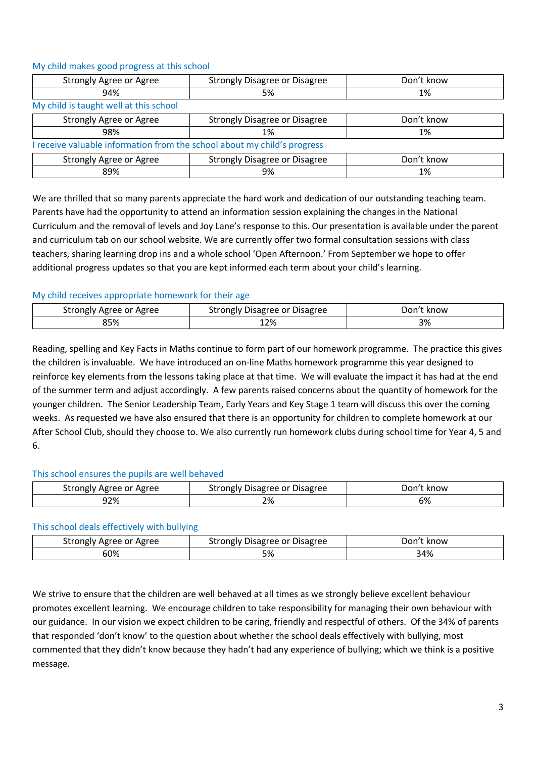| Strongly Agree or Agree                                                  | <b>Strongly Disagree or Disagree</b> | Don't know |
|--------------------------------------------------------------------------|--------------------------------------|------------|
| 94%                                                                      | 5%                                   | 1%         |
| My child is taught well at this school                                   |                                      |            |
| Strongly Agree or Agree                                                  | <b>Strongly Disagree or Disagree</b> | Don't know |
| 98%                                                                      | 1%                                   | 1%         |
| I receive valuable information from the school about my child's progress |                                      |            |
| Strongly Agree or Agree                                                  | <b>Strongly Disagree or Disagree</b> | Don't know |
| 89%                                                                      | 9%                                   | 1%         |

# My child makes good progress at this school

We are thrilled that so many parents appreciate the hard work and dedication of our outstanding teaching team. Parents have had the opportunity to attend an information session explaining the changes in the National Curriculum and the removal of levels and Joy Lane's response to this. Our presentation is available under the parent and curriculum tab on our school website. We are currently offer two formal consultation sessions with class teachers, sharing learning drop ins and a whole school 'Open Afternoon.' From September we hope to offer additional progress updates so that you are kept informed each term about your child's learning.

# My child receives appropriate homework for their age

| Agree<br>strongly<br>Agree<br>or | Disagree or<br><sup>-</sup> Disagree<br>strongly | Don<br>know |
|----------------------------------|--------------------------------------------------|-------------|
| 85%                              | 12%                                              | 3%          |

Reading, spelling and Key Facts in Maths continue to form part of our homework programme. The practice this gives the children is invaluable. We have introduced an on-line Maths homework programme this year designed to reinforce key elements from the lessons taking place at that time. We will evaluate the impact it has had at the end of the summer term and adjust accordingly. A few parents raised concerns about the quantity of homework for the younger children. The Senior Leadership Team, Early Years and Key Stage 1 team will discuss this over the coming weeks. As requested we have also ensured that there is an opportunity for children to complete homework at our After School Club, should they choose to. We also currently run homework clubs during school time for Year 4, 5 and 6.

# This school ensures the pupils are well behaved

| Strongly Agree or Agree | Disagree or Disagree<br>Strongly | Jon.<br>know |
|-------------------------|----------------------------------|--------------|
| 92%                     | 2%                               | 6%           |

### This school deals effectively with bullying

| ' Agree or Agree<br>strongly | Strongly Disagree or Disagree | .)on'<br>know |
|------------------------------|-------------------------------|---------------|
| 60%                          | ره -<br>コ ७०                  | 34%           |

We strive to ensure that the children are well behaved at all times as we strongly believe excellent behaviour promotes excellent learning. We encourage children to take responsibility for managing their own behaviour with our guidance. In our vision we expect children to be caring, friendly and respectful of others. Of the 34% of parents that responded 'don't know' to the question about whether the school deals effectively with bullying, most commented that they didn't know because they hadn't had any experience of bullying; which we think is a positive message.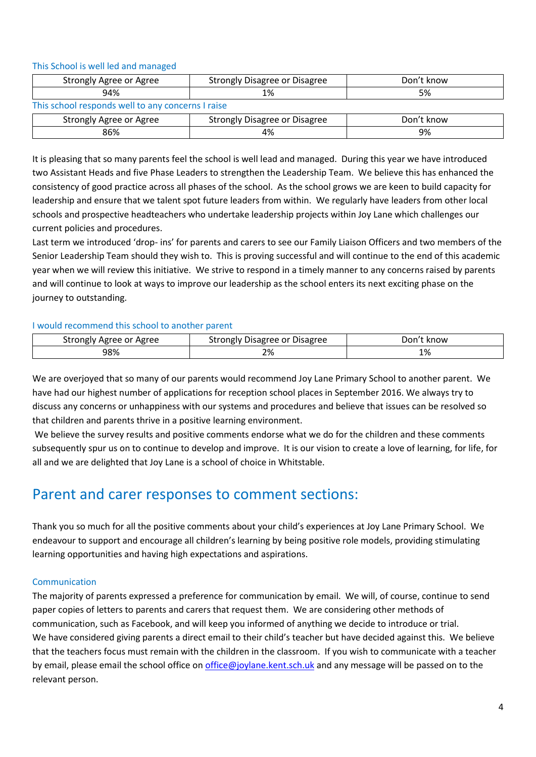This School is well led and managed

| Strongly Agree or Agree                           | <b>Strongly Disagree or Disagree</b> | Don't know |  |
|---------------------------------------------------|--------------------------------------|------------|--|
| 94%                                               | 1%                                   | 5%         |  |
| This school responds well to any concerns I raise |                                      |            |  |
| Strongly Agree or Agree                           | Strongly Disagree or Disagree        | Don't know |  |
| 86%                                               | 4%                                   | 9%         |  |

It is pleasing that so many parents feel the school is well lead and managed. During this year we have introduced two Assistant Heads and five Phase Leaders to strengthen the Leadership Team. We believe this has enhanced the consistency of good practice across all phases of the school. As the school grows we are keen to build capacity for leadership and ensure that we talent spot future leaders from within. We regularly have leaders from other local schools and prospective headteachers who undertake leadership projects within Joy Lane which challenges our current policies and procedures.

Last term we introduced 'drop- ins' for parents and carers to see our Family Liaison Officers and two members of the Senior Leadership Team should they wish to. This is proving successful and will continue to the end of this academic year when we will review this initiative. We strive to respond in a timely manner to any concerns raised by parents and will continue to look at ways to improve our leadership as the school enters its next exciting phase on the journey to outstanding.

### I would recommend this school to another parent

| Strongly Agree or Agree | Strongly Disagree or Disagree | Don't know |
|-------------------------|-------------------------------|------------|
| 98%                     | 2%                            | 1%         |

We are overjoyed that so many of our parents would recommend Joy Lane Primary School to another parent. We have had our highest number of applications for reception school places in September 2016. We always try to discuss any concerns or unhappiness with our systems and procedures and believe that issues can be resolved so that children and parents thrive in a positive learning environment.

We believe the survey results and positive comments endorse what we do for the children and these comments subsequently spur us on to continue to develop and improve. It is our vision to create a love of learning, for life, for all and we are delighted that Joy Lane is a school of choice in Whitstable.

# Parent and carer responses to comment sections:

Thank you so much for all the positive comments about your child's experiences at Joy Lane Primary School. We endeavour to support and encourage all children's learning by being positive role models, providing stimulating learning opportunities and having high expectations and aspirations.

### Communication

The majority of parents expressed a preference for communication by email. We will, of course, continue to send paper copies of letters to parents and carers that request them. We are considering other methods of communication, such as Facebook, and will keep you informed of anything we decide to introduce or trial. We have considered giving parents a direct email to their child's teacher but have decided against this. We believe that the teachers focus must remain with the children in the classroom. If you wish to communicate with a teacher by email, please email the school office on [office@joylane.kent.sch.uk](mailto:office@joylane.kent.sch.uk) and any message will be passed on to the relevant person.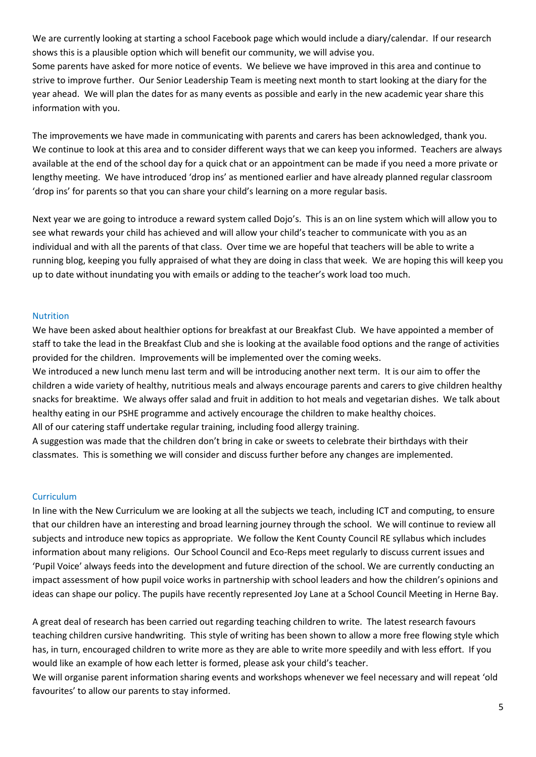We are currently looking at starting a school Facebook page which would include a diary/calendar. If our research shows this is a plausible option which will benefit our community, we will advise you.

Some parents have asked for more notice of events. We believe we have improved in this area and continue to strive to improve further. Our Senior Leadership Team is meeting next month to start looking at the diary for the year ahead. We will plan the dates for as many events as possible and early in the new academic year share this information with you.

The improvements we have made in communicating with parents and carers has been acknowledged, thank you. We continue to look at this area and to consider different ways that we can keep you informed. Teachers are always available at the end of the school day for a quick chat or an appointment can be made if you need a more private or lengthy meeting. We have introduced 'drop ins' as mentioned earlier and have already planned regular classroom 'drop ins' for parents so that you can share your child's learning on a more regular basis.

Next year we are going to introduce a reward system called Dojo's. This is an on line system which will allow you to see what rewards your child has achieved and will allow your child's teacher to communicate with you as an individual and with all the parents of that class. Over time we are hopeful that teachers will be able to write a running blog, keeping you fully appraised of what they are doing in class that week. We are hoping this will keep you up to date without inundating you with emails or adding to the teacher's work load too much.

## Nutrition

We have been asked about healthier options for breakfast at our Breakfast Club. We have appointed a member of staff to take the lead in the Breakfast Club and she is looking at the available food options and the range of activities provided for the children. Improvements will be implemented over the coming weeks.

We introduced a new lunch menu last term and will be introducing another next term. It is our aim to offer the children a wide variety of healthy, nutritious meals and always encourage parents and carers to give children healthy snacks for breaktime. We always offer salad and fruit in addition to hot meals and vegetarian dishes. We talk about healthy eating in our PSHE programme and actively encourage the children to make healthy choices.

All of our catering staff undertake regular training, including food allergy training.

A suggestion was made that the children don't bring in cake or sweets to celebrate their birthdays with their classmates. This is something we will consider and discuss further before any changes are implemented.

### **Curriculum**

In line with the New Curriculum we are looking at all the subjects we teach, including ICT and computing, to ensure that our children have an interesting and broad learning journey through the school. We will continue to review all subjects and introduce new topics as appropriate. We follow the Kent County Council RE syllabus which includes information about many religions. Our School Council and Eco-Reps meet regularly to discuss current issues and 'Pupil Voice' always feeds into the development and future direction of the school. We are currently conducting an impact assessment of how pupil voice works in partnership with school leaders and how the children's opinions and ideas can shape our policy. The pupils have recently represented Joy Lane at a School Council Meeting in Herne Bay.

A great deal of research has been carried out regarding teaching children to write. The latest research favours teaching children cursive handwriting. This style of writing has been shown to allow a more free flowing style which has, in turn, encouraged children to write more as they are able to write more speedily and with less effort. If you would like an example of how each letter is formed, please ask your child's teacher.

We will organise parent information sharing events and workshops whenever we feel necessary and will repeat 'old favourites' to allow our parents to stay informed.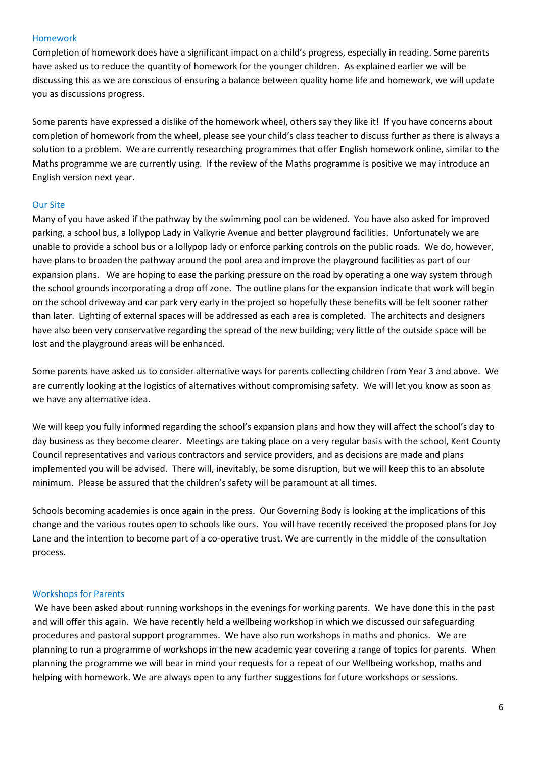### Homework

Completion of homework does have a significant impact on a child's progress, especially in reading. Some parents have asked us to reduce the quantity of homework for the younger children. As explained earlier we will be discussing this as we are conscious of ensuring a balance between quality home life and homework, we will update you as discussions progress.

Some parents have expressed a dislike of the homework wheel, others say they like it! If you have concerns about completion of homework from the wheel, please see your child's class teacher to discuss further as there is always a solution to a problem. We are currently researching programmes that offer English homework online, similar to the Maths programme we are currently using. If the review of the Maths programme is positive we may introduce an English version next year.

### Our Site

Many of you have asked if the pathway by the swimming pool can be widened. You have also asked for improved parking, a school bus, a lollypop Lady in Valkyrie Avenue and better playground facilities. Unfortunately we are unable to provide a school bus or a lollypop lady or enforce parking controls on the public roads. We do, however, have plans to broaden the pathway around the pool area and improve the playground facilities as part of our expansion plans. We are hoping to ease the parking pressure on the road by operating a one way system through the school grounds incorporating a drop off zone. The outline plans for the expansion indicate that work will begin on the school driveway and car park very early in the project so hopefully these benefits will be felt sooner rather than later. Lighting of external spaces will be addressed as each area is completed. The architects and designers have also been very conservative regarding the spread of the new building; very little of the outside space will be lost and the playground areas will be enhanced.

Some parents have asked us to consider alternative ways for parents collecting children from Year 3 and above. We are currently looking at the logistics of alternatives without compromising safety. We will let you know as soon as we have any alternative idea.

We will keep you fully informed regarding the school's expansion plans and how they will affect the school's day to day business as they become clearer. Meetings are taking place on a very regular basis with the school, Kent County Council representatives and various contractors and service providers, and as decisions are made and plans implemented you will be advised. There will, inevitably, be some disruption, but we will keep this to an absolute minimum. Please be assured that the children's safety will be paramount at all times.

Schools becoming academies is once again in the press. Our Governing Body is looking at the implications of this change and the various routes open to schools like ours. You will have recently received the proposed plans for Joy Lane and the intention to become part of a co-operative trust. We are currently in the middle of the consultation process.

#### Workshops for Parents

We have been asked about running workshops in the evenings for working parents. We have done this in the past and will offer this again. We have recently held a wellbeing workshop in which we discussed our safeguarding procedures and pastoral support programmes. We have also run workshops in maths and phonics. We are planning to run a programme of workshops in the new academic year covering a range of topics for parents. When planning the programme we will bear in mind your requests for a repeat of our Wellbeing workshop, maths and helping with homework. We are always open to any further suggestions for future workshops or sessions.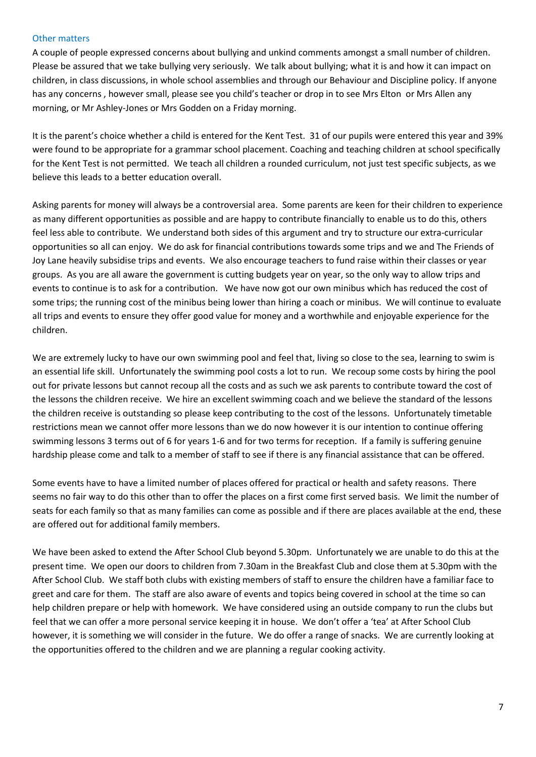### Other matters

A couple of people expressed concerns about bullying and unkind comments amongst a small number of children. Please be assured that we take bullying very seriously. We talk about bullying; what it is and how it can impact on children, in class discussions, in whole school assemblies and through our Behaviour and Discipline policy. If anyone has any concerns , however small, please see you child's teacher or drop in to see Mrs Elton or Mrs Allen any morning, or Mr Ashley-Jones or Mrs Godden on a Friday morning.

It is the parent's choice whether a child is entered for the Kent Test. 31 of our pupils were entered this year and 39% were found to be appropriate for a grammar school placement. Coaching and teaching children at school specifically for the Kent Test is not permitted. We teach all children a rounded curriculum, not just test specific subjects, as we believe this leads to a better education overall.

Asking parents for money will always be a controversial area. Some parents are keen for their children to experience as many different opportunities as possible and are happy to contribute financially to enable us to do this, others feel less able to contribute. We understand both sides of this argument and try to structure our extra-curricular opportunities so all can enjoy. We do ask for financial contributions towards some trips and we and The Friends of Joy Lane heavily subsidise trips and events. We also encourage teachers to fund raise within their classes or year groups. As you are all aware the government is cutting budgets year on year, so the only way to allow trips and events to continue is to ask for a contribution. We have now got our own minibus which has reduced the cost of some trips; the running cost of the minibus being lower than hiring a coach or minibus. We will continue to evaluate all trips and events to ensure they offer good value for money and a worthwhile and enjoyable experience for the children.

We are extremely lucky to have our own swimming pool and feel that, living so close to the sea, learning to swim is an essential life skill. Unfortunately the swimming pool costs a lot to run. We recoup some costs by hiring the pool out for private lessons but cannot recoup all the costs and as such we ask parents to contribute toward the cost of the lessons the children receive. We hire an excellent swimming coach and we believe the standard of the lessons the children receive is outstanding so please keep contributing to the cost of the lessons. Unfortunately timetable restrictions mean we cannot offer more lessons than we do now however it is our intention to continue offering swimming lessons 3 terms out of 6 for years 1-6 and for two terms for reception. If a family is suffering genuine hardship please come and talk to a member of staff to see if there is any financial assistance that can be offered.

Some events have to have a limited number of places offered for practical or health and safety reasons. There seems no fair way to do this other than to offer the places on a first come first served basis. We limit the number of seats for each family so that as many families can come as possible and if there are places available at the end, these are offered out for additional family members.

We have been asked to extend the After School Club beyond 5.30pm. Unfortunately we are unable to do this at the present time. We open our doors to children from 7.30am in the Breakfast Club and close them at 5.30pm with the After School Club. We staff both clubs with existing members of staff to ensure the children have a familiar face to greet and care for them. The staff are also aware of events and topics being covered in school at the time so can help children prepare or help with homework. We have considered using an outside company to run the clubs but feel that we can offer a more personal service keeping it in house. We don't offer a 'tea' at After School Club however, it is something we will consider in the future. We do offer a range of snacks. We are currently looking at the opportunities offered to the children and we are planning a regular cooking activity.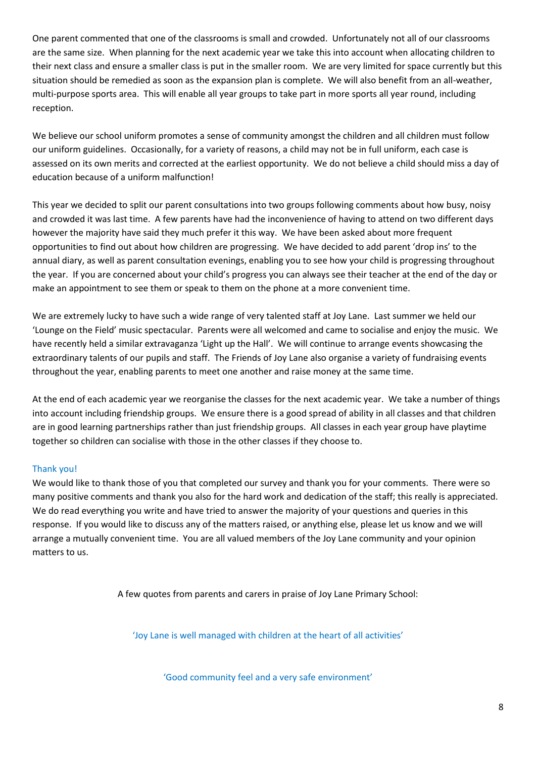One parent commented that one of the classrooms is small and crowded. Unfortunately not all of our classrooms are the same size. When planning for the next academic year we take this into account when allocating children to their next class and ensure a smaller class is put in the smaller room. We are very limited for space currently but this situation should be remedied as soon as the expansion plan is complete. We will also benefit from an all-weather, multi-purpose sports area. This will enable all year groups to take part in more sports all year round, including reception.

We believe our school uniform promotes a sense of community amongst the children and all children must follow our uniform guidelines. Occasionally, for a variety of reasons, a child may not be in full uniform, each case is assessed on its own merits and corrected at the earliest opportunity. We do not believe a child should miss a day of education because of a uniform malfunction!

This year we decided to split our parent consultations into two groups following comments about how busy, noisy and crowded it was last time. A few parents have had the inconvenience of having to attend on two different days however the majority have said they much prefer it this way. We have been asked about more frequent opportunities to find out about how children are progressing. We have decided to add parent 'drop ins' to the annual diary, as well as parent consultation evenings, enabling you to see how your child is progressing throughout the year. If you are concerned about your child's progress you can always see their teacher at the end of the day or make an appointment to see them or speak to them on the phone at a more convenient time.

We are extremely lucky to have such a wide range of very talented staff at Joy Lane. Last summer we held our 'Lounge on the Field' music spectacular. Parents were all welcomed and came to socialise and enjoy the music. We have recently held a similar extravaganza 'Light up the Hall'. We will continue to arrange events showcasing the extraordinary talents of our pupils and staff. The Friends of Joy Lane also organise a variety of fundraising events throughout the year, enabling parents to meet one another and raise money at the same time.

At the end of each academic year we reorganise the classes for the next academic year. We take a number of things into account including friendship groups. We ensure there is a good spread of ability in all classes and that children are in good learning partnerships rather than just friendship groups. All classes in each year group have playtime together so children can socialise with those in the other classes if they choose to.

# Thank you!

We would like to thank those of you that completed our survey and thank you for your comments. There were so many positive comments and thank you also for the hard work and dedication of the staff; this really is appreciated. We do read everything you write and have tried to answer the majority of your questions and queries in this response. If you would like to discuss any of the matters raised, or anything else, please let us know and we will arrange a mutually convenient time. You are all valued members of the Joy Lane community and your opinion matters to us.

A few quotes from parents and carers in praise of Joy Lane Primary School:

'Joy Lane is well managed with children at the heart of all activities'

'Good community feel and a very safe environment'